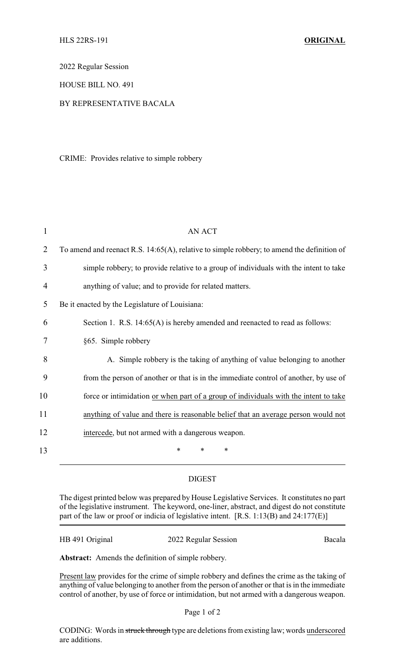2022 Regular Session

HOUSE BILL NO. 491

## BY REPRESENTATIVE BACALA

CRIME: Provides relative to simple robbery

| 1  | AN ACT                                                                                     |
|----|--------------------------------------------------------------------------------------------|
| 2  | To amend and reenact R.S. 14:65(A), relative to simple robbery; to amend the definition of |
| 3  | simple robbery; to provide relative to a group of individuals with the intent to take      |
| 4  | anything of value; and to provide for related matters.                                     |
| 5  | Be it enacted by the Legislature of Louisiana:                                             |
| 6  | Section 1. R.S. 14:65(A) is hereby amended and reenacted to read as follows:               |
| 7  | §65. Simple robbery                                                                        |
| 8  | A. Simple robbery is the taking of anything of value belonging to another                  |
| 9  | from the person of another or that is in the immediate control of another, by use of       |
| 10 | force or intimidation or when part of a group of individuals with the intent to take       |
| 11 | anything of value and there is reasonable belief that an average person would not          |
| 12 | intercede, but not armed with a dangerous weapon.                                          |
| 13 | $\ast$<br>*<br>*                                                                           |

## DIGEST

The digest printed below was prepared by House Legislative Services. It constitutes no part of the legislative instrument. The keyword, one-liner, abstract, and digest do not constitute part of the law or proof or indicia of legislative intent. [R.S. 1:13(B) and 24:177(E)]

HB 491 Original 2022 Regular Session Bacala

**Abstract:** Amends the definition of simple robbery.

Present law provides for the crime of simple robbery and defines the crime as the taking of anything of value belonging to another from the person of another or that is in the immediate control of another, by use of force or intimidation, but not armed with a dangerous weapon.

Page 1 of 2

CODING: Words in struck through type are deletions from existing law; words underscored are additions.